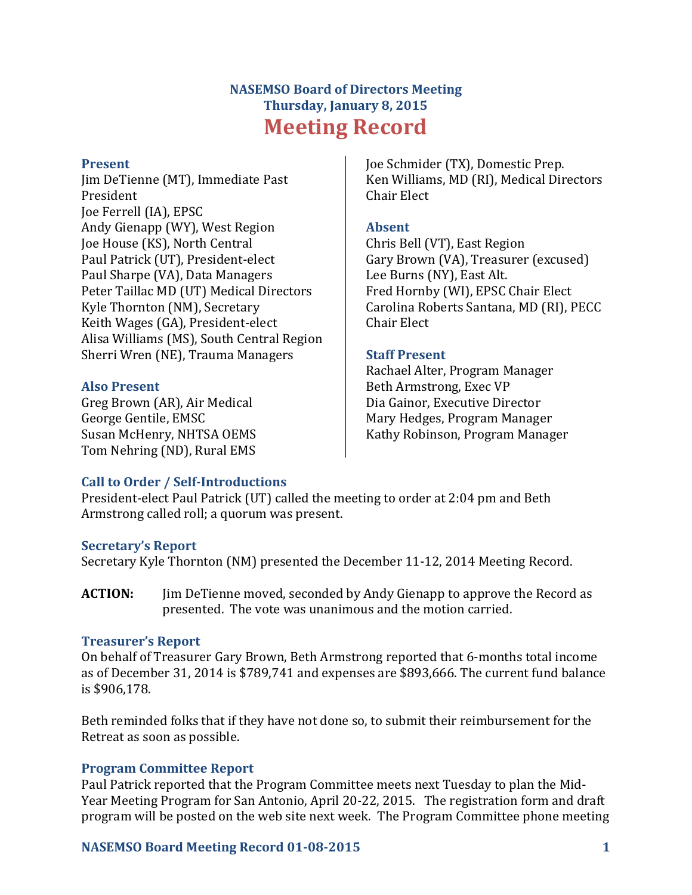# **NASEMSO Board of Directors Meeting Thursday, January 8, 2015 Meeting Record**

#### **Present**

Jim DeTienne (MT), Immediate Past President Joe Ferrell (IA), EPSC Andy Gienapp (WY), West Region Joe House (KS), North Central Paul Patrick (UT), President-elect Paul Sharpe (VA), Data Managers Peter Taillac MD (UT) Medical Directors Kyle Thornton (NM), Secretary Keith Wages (GA), President-elect Alisa Williams (MS), South Central Region Sherri Wren (NE), Trauma Managers

### **Also Present**

Greg Brown (AR), Air Medical George Gentile, EMSC Susan McHenry, NHTSA OEMS Tom Nehring (ND), Rural EMS

Joe Schmider (TX), Domestic Prep. Ken Williams, MD (RI), Medical Directors Chair Elect

### **Absent**

Chris Bell (VT), East Region Gary Brown (VA), Treasurer (excused) Lee Burns (NY), East Alt. Fred Hornby (WI), EPSC Chair Elect Carolina Roberts Santana, MD (RI), PECC Chair Elect

### **Staff Present**

Rachael Alter, Program Manager Beth Armstrong, Exec VP Dia Gainor, Executive Director Mary Hedges, Program Manager Kathy Robinson, Program Manager

### **Call to Order / Self-Introductions**

President-elect Paul Patrick (UT) called the meeting to order at 2:04 pm and Beth Armstrong called roll; a quorum was present.

### **Secretary's Report**

Secretary Kyle Thornton (NM) presented the December 11-12, 2014 Meeting Record.

**ACTION:** Jim DeTienne moved, seconded by Andy Gienapp to approve the Record as presented. The vote was unanimous and the motion carried.

### **Treasurer's Report**

On behalf of Treasurer Gary Brown, Beth Armstrong reported that 6-months total income as of December 31, 2014 is \$789,741 and expenses are \$893,666. The current fund balance is \$906,178.

Beth reminded folks that if they have not done so, to submit their reimbursement for the Retreat as soon as possible.

### **Program Committee Report**

Paul Patrick reported that the Program Committee meets next Tuesday to plan the Mid-Year Meeting Program for San Antonio, April 20-22, 2015. The registration form and draft program will be posted on the web site next week. The Program Committee phone meeting

### **NASEMSO Board Meeting Record 01-08-2015 1**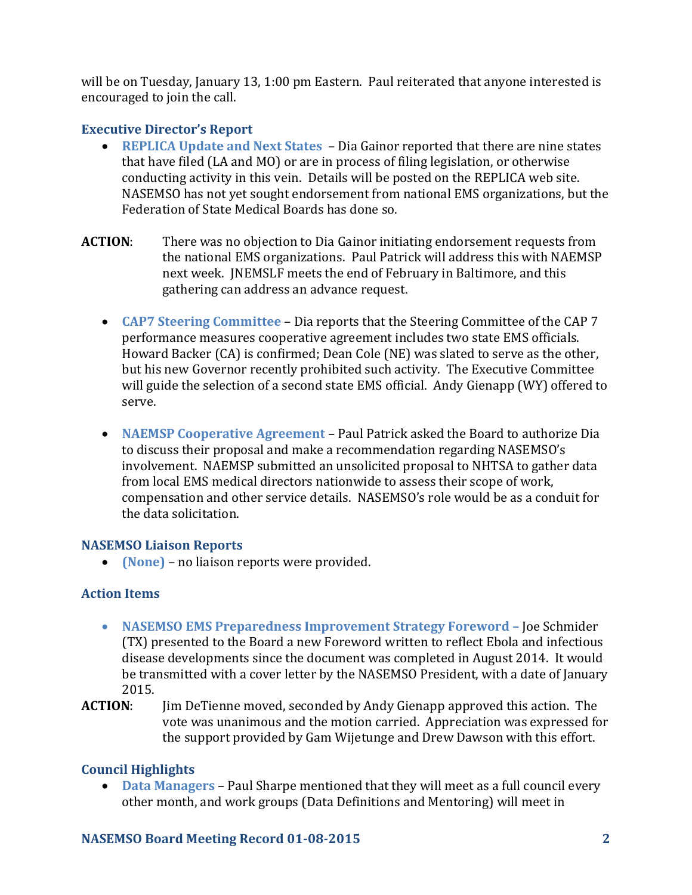will be on Tuesday, January 13, 1:00 pm Eastern. Paul reiterated that anyone interested is encouraged to join the call.

### **Executive Director's Report**

- **REPLICA Update and Next States** Dia Gainor reported that there are nine states that have filed (LA and MO) or are in process of filing legislation, or otherwise conducting activity in this vein. Details will be posted on the REPLICA web site. NASEMSO has not yet sought endorsement from national EMS organizations, but the Federation of State Medical Boards has done so.
- **ACTION**: There was no objection to Dia Gainor initiating endorsement requests from the national EMS organizations. Paul Patrick will address this with NAEMSP next week. JNEMSLF meets the end of February in Baltimore, and this gathering can address an advance request.
	- **CAP7 Steering Committee** Dia reports that the Steering Committee of the CAP 7 performance measures cooperative agreement includes two state EMS officials. Howard Backer (CA) is confirmed; Dean Cole (NE) was slated to serve as the other, but his new Governor recently prohibited such activity. The Executive Committee will guide the selection of a second state EMS official. Andy Gienapp (WY) offered to serve.
	- **NAEMSP Cooperative Agreement** Paul Patrick asked the Board to authorize Dia to discuss their proposal and make a recommendation regarding NASEMSO's involvement. NAEMSP submitted an unsolicited proposal to NHTSA to gather data from local EMS medical directors nationwide to assess their scope of work, compensation and other service details. NASEMSO's role would be as a conduit for the data solicitation.

## **NASEMSO Liaison Reports**

**(None)** – no liaison reports were provided.

# **Action Items**

- **NASEMSO EMS Preparedness Improvement Strategy Foreword –** Joe Schmider (TX) presented to the Board a new Foreword written to reflect Ebola and infectious disease developments since the document was completed in August 2014. It would be transmitted with a cover letter by the NASEMSO President, with a date of January 2015.
- **ACTION**: Jim DeTienne moved, seconded by Andy Gienapp approved this action. The vote was unanimous and the motion carried. Appreciation was expressed for the support provided by Gam Wijetunge and Drew Dawson with this effort.

# **Council Highlights**

 **Data Managers** – Paul Sharpe mentioned that they will meet as a full council every other month, and work groups (Data Definitions and Mentoring) will meet in

## **NASEMSO Board Meeting Record 01-08-2015 2**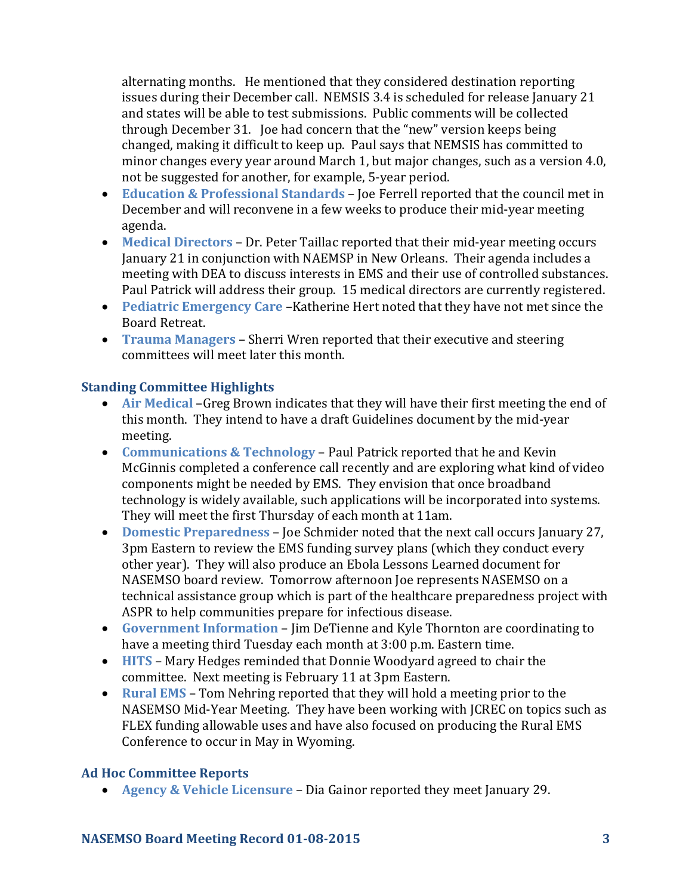alternating months. He mentioned that they considered destination reporting issues during their December call. NEMSIS 3.4 is scheduled for release January 21 and states will be able to test submissions. Public comments will be collected through December 31. Joe had concern that the "new" version keeps being changed, making it difficult to keep up. Paul says that NEMSIS has committed to minor changes every year around March 1, but major changes, such as a version 4.0, not be suggested for another, for example, 5-year period.

- **Education & Professional Standards** Joe Ferrell reported that the council met in December and will reconvene in a few weeks to produce their mid-year meeting agenda.
- **Medical Directors** Dr. Peter Taillac reported that their mid-year meeting occurs January 21 in conjunction with NAEMSP in New Orleans. Their agenda includes a meeting with DEA to discuss interests in EMS and their use of controlled substances. Paul Patrick will address their group. 15 medical directors are currently registered.
- **Pediatric Emergency Care** –Katherine Hert noted that they have not met since the Board Retreat.
- **Trauma Managers** Sherri Wren reported that their executive and steering committees will meet later this month.

### **Standing Committee Highlights**

- **Air Medical** –Greg Brown indicates that they will have their first meeting the end of this month. They intend to have a draft Guidelines document by the mid-year meeting.
- **Communications & Technology** Paul Patrick reported that he and Kevin McGinnis completed a conference call recently and are exploring what kind of video components might be needed by EMS. They envision that once broadband technology is widely available, such applications will be incorporated into systems. They will meet the first Thursday of each month at 11am.
- **Domestic Preparedness** Joe Schmider noted that the next call occurs January 27, 3pm Eastern to review the EMS funding survey plans (which they conduct every other year). They will also produce an Ebola Lessons Learned document for NASEMSO board review. Tomorrow afternoon Joe represents NASEMSO on a technical assistance group which is part of the healthcare preparedness project with ASPR to help communities prepare for infectious disease.
- **Government Information**  Jim DeTienne and Kyle Thornton are coordinating to have a meeting third Tuesday each month at 3:00 p.m. Eastern time.
- **HITS**  Mary Hedges reminded that Donnie Woodyard agreed to chair the committee. Next meeting is February 11 at 3pm Eastern.
- **Rural EMS**  Tom Nehring reported that they will hold a meeting prior to the NASEMSO Mid-Year Meeting. They have been working with JCREC on topics such as FLEX funding allowable uses and have also focused on producing the Rural EMS Conference to occur in May in Wyoming.

### **Ad Hoc Committee Reports**

**Agency & Vehicle Licensure** – Dia Gainor reported they meet January 29.